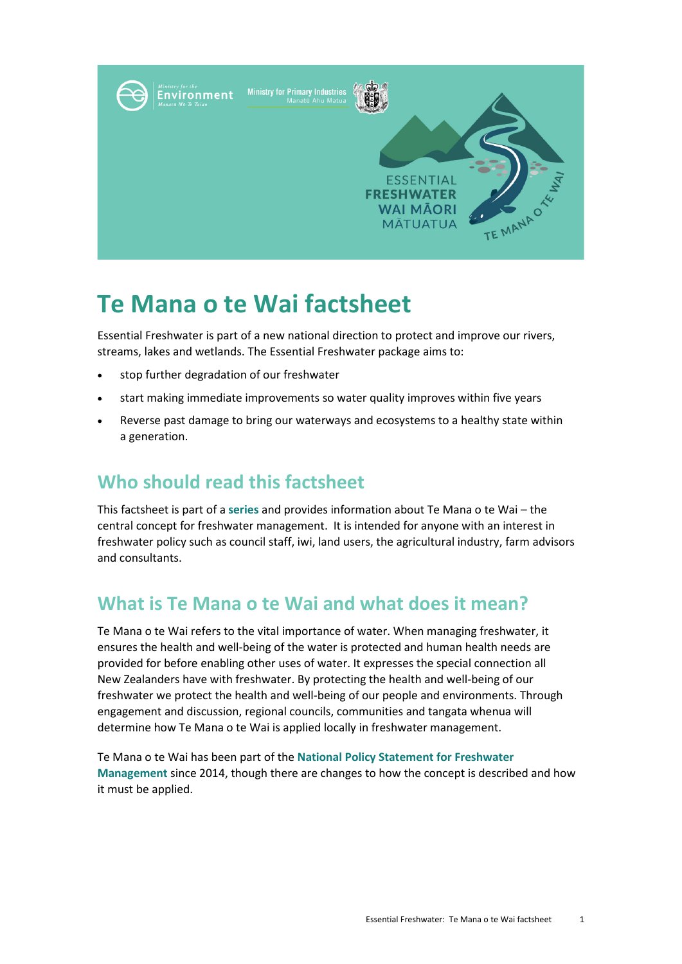

# **Te Mana o te Wai factsheet**

Essential Freshwater is part of a new national direction to protect and improve our rivers, streams, lakes and wetlands. The Essential Freshwater package aims to:

- stop further degradation of our freshwater
- start making immediate improvements so water quality improves within five years
- Reverse past damage to bring our waterways and ecosystems to a healthy state within a generation.

## **Who should read this factsheet**

This factsheet is part of a **[series](https://www.mfe.govt.nz/fresh-water/freshwater-guidance/factsheets-policies-and-regulations-essential-freshwater)** and provides information about Te Mana o te Wai – the central concept for freshwater management. It is intended for anyone with an interest in freshwater policy such as council staff, iwi, land users, the agricultural industry, farm advisors and consultants.

## **What is Te Mana o te Wai and what does it mean?**

Te Mana o te Wai refers to the vital importance of water. When managing freshwater, it ensures the health and well-being of the water is protected and human health needs are provided for before enabling other uses of water. It expresses the special connection all New Zealanders have with freshwater. By protecting the health and well-being of our freshwater we protect the health and well-being of our people and environments. Through engagement and discussion, regional councils, communities and tangata whenua will determine how Te Mana o te Wai is applied locally in freshwater management.

Te Mana o te Wai has been part of the **[National Policy Statement for Freshwater](https://www.mfe.govt.nz/fresh-water/national-policy-statement/about-nps)  [Management](https://www.mfe.govt.nz/fresh-water/national-policy-statement/about-nps)** since 2014, though there are changes to how the concept is described and how it must be applied.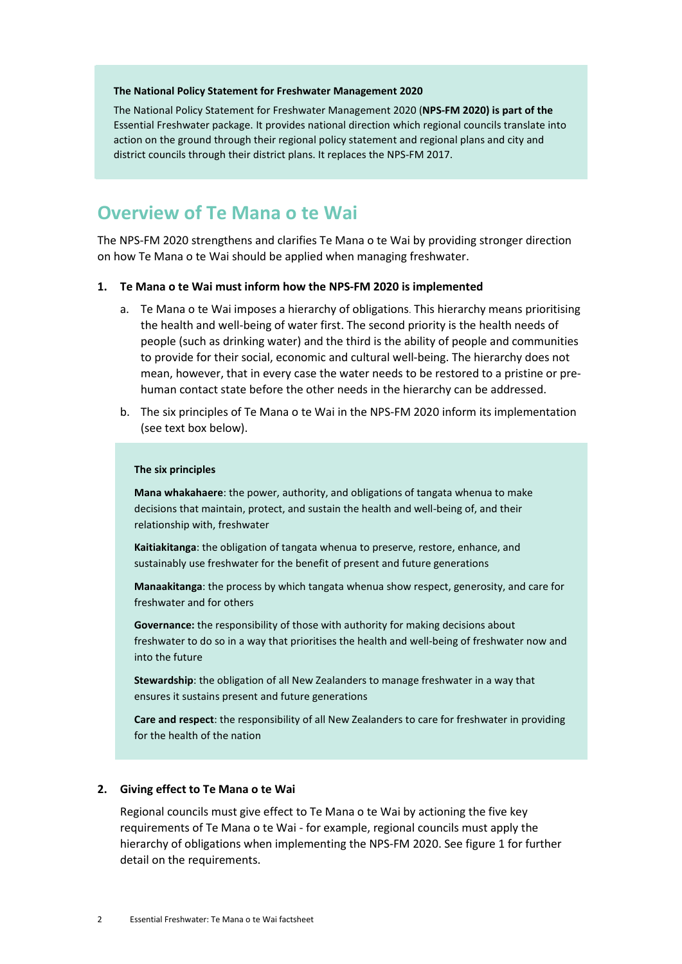#### **The National Policy Statement for Freshwater Management 2020**

The National Policy Statement for Freshwater Management 2020 (**[NPS-FM](https://www.mfe.govt.nz/publications/fresh-water/national-policy-statement-freshwater-management-2020) 2020) is part of the**  Essential Freshwater package. It provides national direction which regional councils translate into action on the ground through their regional policy statement and regional plans and city and district councils through their district plans. It replaces the NPS-FM 2017.

## **Overview of Te Mana o te Wai**

The NPS-FM 2020 strengthens and clarifies Te Mana o te Wai by providing stronger direction on how Te Mana o te Wai should be applied when managing freshwater.

#### **1. Te Mana o te Wai must inform how the NPS-FM 2020 is implemented**

- a. Te Mana o te Wai imposes a hierarchy of obligations. This hierarchy means prioritising the health and well-being of water first. The second priority is the health needs of people (such as drinking water) and the third is the ability of people and communities to provide for their social, economic and cultural well-being. The hierarchy does not mean, however, that in every case the water needs to be restored to a pristine or prehuman contact state before the other needs in the hierarchy can be addressed.
- b. The six principles of Te Mana o te Wai in the NPS-FM 2020 inform its implementation (see text box below).

#### **The six principles**

**Mana whakahaere**: the power, authority, and obligations of tangata whenua to make decisions that maintain, protect, and sustain the health and well-being of, and their relationship with, freshwater

**Kaitiakitanga**: the obligation of tangata whenua to preserve, restore, enhance, and sustainably use freshwater for the benefit of present and future generations

**Manaakitanga**: the process by which tangata whenua show respect, generosity, and care for freshwater and for others

**Governance:** the responsibility of those with authority for making decisions about freshwater to do so in a way that prioritises the health and well-being of freshwater now and into the future

**Stewardship**: the obligation of all New Zealanders to manage freshwater in a way that ensures it sustains present and future generations

**Care and respect**: the responsibility of all New Zealanders to care for freshwater in providing for the health of the nation

#### **2. Giving effect to Te Mana o te Wai**

Regional councils must give effect to Te Mana o te Wai by actioning the five key requirements of Te Mana o te Wai - for example, regional councils must apply the hierarchy of obligations when implementing the NPS-FM 2020. See figure 1 for further detail on the requirements.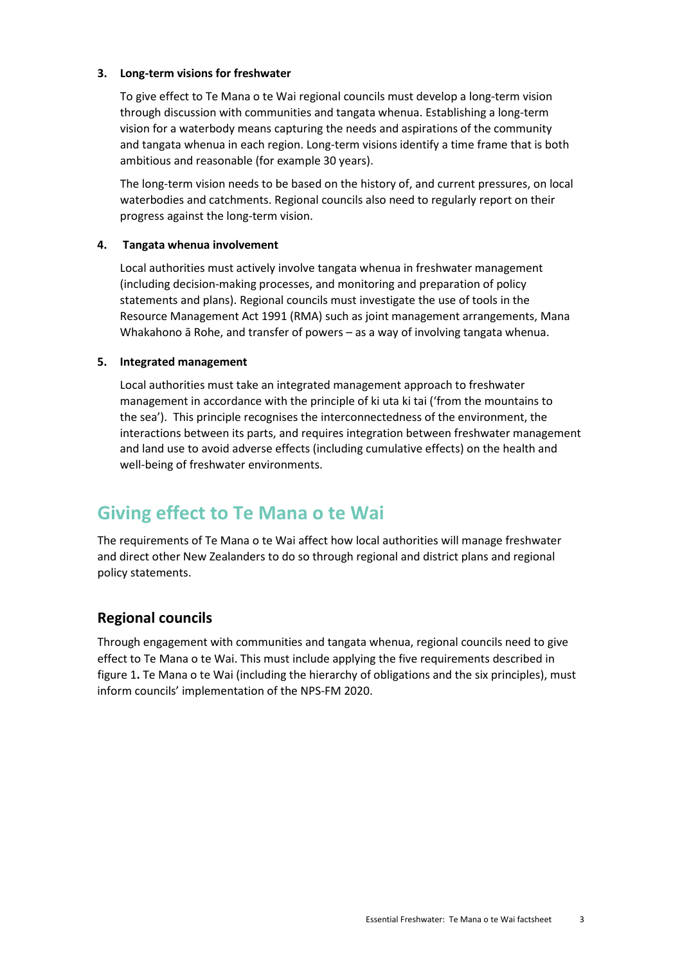### **3. Long-term visions for freshwater**

To give effect to Te Mana o te Wai regional councils must develop a long-term vision through discussion with communities and tangata whenua. Establishing a long-term vision for a waterbody means capturing the needs and aspirations of the community and tangata whenua in each region. Long-term visions identify a time frame that is both ambitious and reasonable (for example 30 years).

The long-term vision needs to be based on the history of, and current pressures, on local waterbodies and catchments. Regional councils also need to regularly report on their progress against the long-term vision.

### **4. Tangata whenua involvement**

Local authorities must actively involve tangata whenua in freshwater management (including decision-making processes, and monitoring and preparation of policy statements and plans). Regional councils must investigate the use of tools in the Resource Management Act 1991 (RMA) such as joint management arrangements, Mana Whakahono ā Rohe, and transfer of powers – as a way of involving tangata whenua.

#### **5. Integrated management**

Local authorities must take an integrated management approach to freshwater management in accordance with the principle of ki uta ki tai ('from the mountains to the sea'). This principle recognises the interconnectedness of the environment, the interactions between its parts, and requires integration between freshwater management and land use to avoid adverse effects (including cumulative effects) on the health and well-being of freshwater environments.

## **Giving effect to Te Mana o te Wai**

The requirements of Te Mana o te Wai affect how local authorities will manage freshwater and direct other New Zealanders to do so through regional and district plans and regional policy statements.

## **Regional councils**

Through engagement with communities and tangata whenua, regional councils need to give effect to Te Mana o te Wai. This must include applying the five requirements described in figure 1**.** Te Mana o te Wai (including the hierarchy of obligations and the six principles), must inform councils' implementation of the NPS-FM 2020.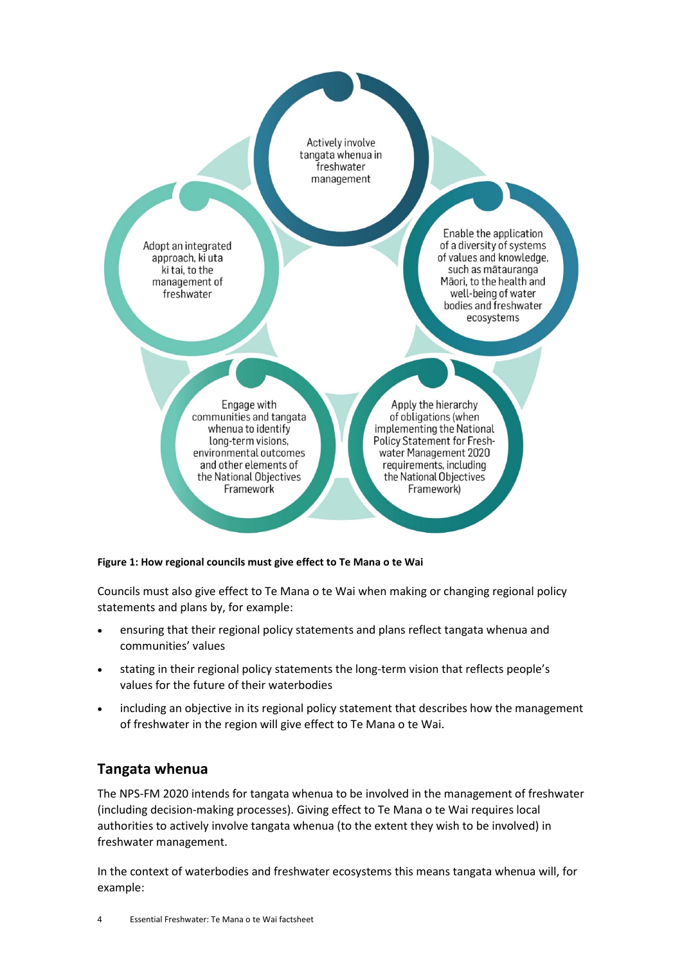Actively involve tangata whenua in freshwater management

Adopt an integrated approach, ki uta ki tai, to the management of freshwater

Enable the application of a diversity of systems of values and knowledge, such as mātauranga Māori, to the health and well-being of water bodies and freshwater ecosystems

Engage with communities and tangata whenua to identify long-term visions, environmental outcomes and other elements of the National Objectives Framework

Apply the hierarchy of obligations (when implementing the National Policy Statement for Freshwater Management 2020 requirements, including the National Objectives Framework)

#### **Figure 1: How regional councils must give effect to Te Mana o te Wai**

Councils must also give effect to Te Mana o te Wai when making or changing regional policy statements and plans by, for example:

- ensuring that their regional policy statements and plans reflect tangata whenua and communities' values
- stating in their regional policy statements the long-term vision that reflects people's values for the future of their waterbodies
- including an objective in its regional policy statement that describes how the management of freshwater in the region will give effect to Te Mana o te Wai.

### **Tangata whenua**

The NPS-FM 2020 intends for tangata whenua to be involved in the management of freshwater (including decision-making processes). Giving effect to Te Mana o te Wai requires local authorities to actively involve tangata whenua (to the extent they wish to be involved) in freshwater management.

In the context of waterbodies and freshwater ecosystems this means tangata whenua will, for example: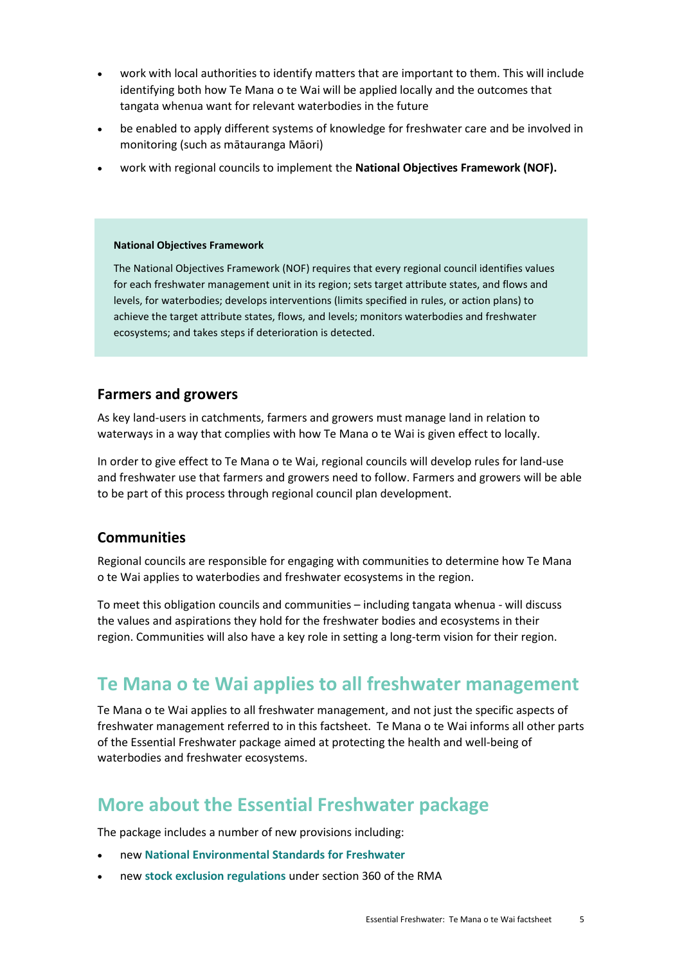- work with local authorities to identify matters that are important to them. This will include identifying both how Te Mana o te Wai will be applied locally and the outcomes that tangata whenua want for relevant waterbodies in the future
- be enabled to apply different systems of knowledge for freshwater care and be involved in monitoring (such as mātauranga Māori)
- work with regional councils to implement the **National Objectives Framework (NOF).**

#### **National Objectives Framework**

The National Objectives Framework (NOF) requires that every regional council identifies values for each freshwater management unit in its region; sets target attribute states, and flows and levels, for waterbodies; develops interventions (limits specified in rules, or action plans) to achieve the target attribute states, flows, and levels; monitors waterbodies and freshwater ecosystems; and takes steps if deterioration is detected.

### **Farmers and growers**

As key land-users in catchments, farmers and growers must manage land in relation to waterways in a way that complies with how Te Mana o te Wai is given effect to locally.

In order to give effect to Te Mana o te Wai, regional councils will develop rules for land-use and freshwater use that farmers and growers need to follow. Farmers and growers will be able to be part of this process through regional council plan development.

### **Communities**

Regional councils are responsible for engaging with communities to determine how Te Mana o te Wai applies to waterbodies and freshwater ecosystems in the region.

To meet this obligation councils and communities – including tangata whenua - will discuss the values and aspirations they hold for the freshwater bodies and ecosystems in their region. Communities will also have a key role in setting a long-term vision for their region.

## **Te Mana o te Wai applies to all freshwater management**

Te Mana o te Wai applies to all freshwater management, and not just the specific aspects of freshwater management referred to in this factsheet. Te Mana o te Wai informs all other parts of the Essential Freshwater package aimed at protecting the health and well-being of waterbodies and freshwater ecosystems.

## **More about the Essential Freshwater package**

The package includes a number of new provisions including:

- new **[National Environmental Standards for Freshwater](http://www.legislation.govt.nz/regulation/public/2020/0174/latest/LMS364099.html)**
- new **[stock exclusion regulations](http://www.legislation.govt.nz/regulation/public/2020/0175/latest/LMS379869.html)** under section 360 of the RMA